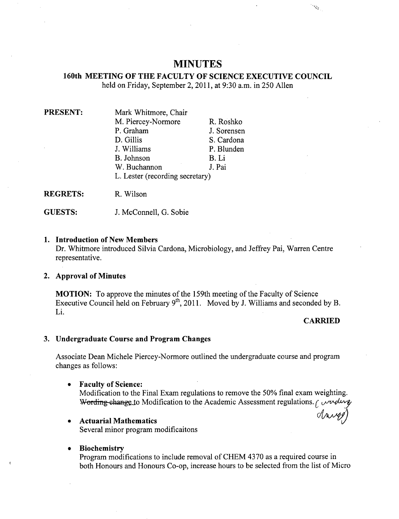# **MINUTES**

# **160th MEETING OF THE FACULTY OF SCIENCE EXECUTIVE COUNCIL**  held on Friday, September 2, 2011, at 9:30 a.m. in 250 Allen

| <b>PRESENT:</b> | Mark Whitmore, Chair            |             |  |
|-----------------|---------------------------------|-------------|--|
|                 | M. Piercey-Normore              | R. Roshko   |  |
|                 | P. Graham                       | J. Sorensen |  |
|                 | D. Gillis                       | S. Cardona  |  |
|                 | J. Williams                     | P. Blunden  |  |
|                 | B. Johnson                      | B. Li       |  |
|                 | W. Buchannon                    | J. Pai      |  |
|                 | L. Lester (recording secretary) |             |  |
|                 |                                 |             |  |

**REGRETS:** R. Wilson

**GUESTS:** J. McConnell, G. Sobie

#### **Introduction of New Members**

Dr. Whitmore introduced Silvia Cardona, Microbiology, and Jeffrey Pai, Warren Centre representative.

## **Approval of Minutes**

**MOTION:** To approve the minutes of the 159th meeting of the Faculty of Science Executive Council held on February  $9^{th}$ , 2011. Moved by J. Williams and seconded by B. Li.

## **CARRIED**

Ú,

## **Undergraduate Course and Program Changes**

Associate Dean Michele Piercey-Normore outlined the undergraduate course and program changes as follows:

**Faculty of Science:**   $\bullet$ 

> Modification to the Final Exam regulations to remove the *50%* final exam weighting. Wording change to Modification to the Academic Assessment regulations.  $\int$  wording

- **Actuarial Mathematics**  Several minor program modificaitons
- **Biochemistry**   $\bullet$

Program modifications to include removal of CHEM 4370 as a required course in both Honours and Honours Co-op, increase hours to be selected from the list of Micro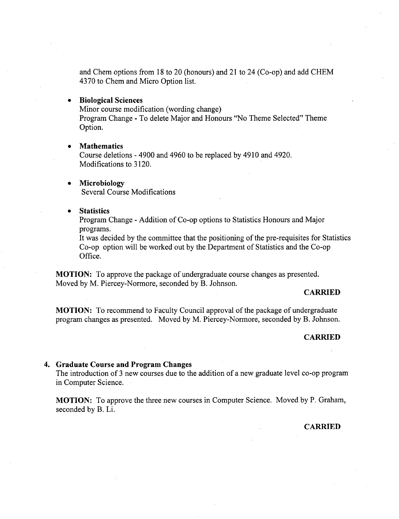and Chem options from 18 to 20 (honours) and 21 to 24 (Co-op) and add CHEM 4370 to Chem and Micro Option list.

#### **Biological Sciences**   $\bullet$

Minor course modification (wording change)

Program Change - To delete Major and Honours "No Theme Selected" Theme Option.

#### **Mathematics**   $\bullet$

Course deletions - 4900 and 4960 to be replaced by 4910 and 4920. Modifications to 3120.

- **Microbiology**   $\bullet$ Several Course Modifications
- **ó Statistics**

Program Change - Addition of Co-op options to Statistics Honours and Major programs.

It was decided by the committee that the positioning of the pre-requisites for Statistics Co-op option will be worked out by the Department of Statistics and the Co-op Office.

**MOTION:** To approve the package of undergraduate course changes as presented. Moved by M. Piercey-Normore, seconded by B. Johnson.

### **CARRIED**

**MOTION:** To recommend to Faculty Council approval of the package of undergraduate program changes as presented. Moved by M. Piercey-Normore, seconded by B. Johnson.

#### **CARRIED**

#### **4. Graduate Course and Program Changes**

The introduction of 3 new courses due to the addition of a new graduate level co-op program in Computer Science.

**MOTION:** To approve the three new courses in Computer Science. Moved by P. Graham, seconded by B. Li.

### **CARRIED**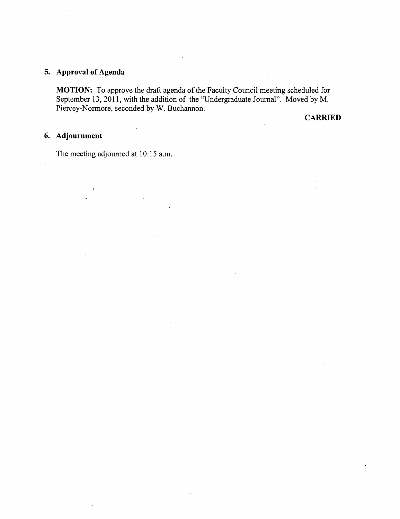# **Approval of Agenda**

**MOTION:** To approve the draft agenda of the Faculty Council meeting scheduled for September 13, 2011, with the addition of the "Undergraduate Journal". Moved by M. Piercey-Normore, seconded by W. Buchannon.

**CARRIED** 

# **Adjournment**

The meeting adjourned at 10:15 a.m.